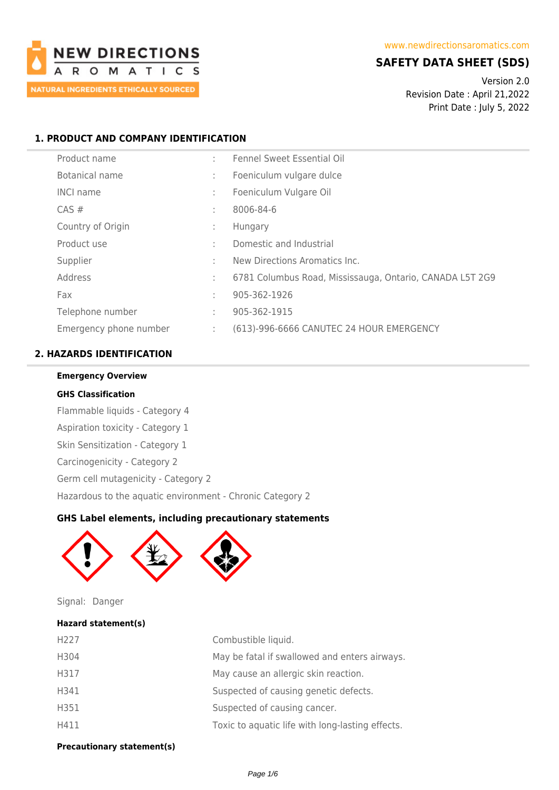

## **SAFETY DATA SHEET (SDS)**

Version 2.0 Revision Date : April 21,2022 Print Date : July 5, 2022

## **1. PRODUCT AND COMPANY IDENTIFICATION**

| Product name           | ٠ | <b>Fennel Sweet Essential Oil</b>                        |
|------------------------|---|----------------------------------------------------------|
| Botanical name         | ÷ | Foeniculum vulgare dulce                                 |
| <b>INCI name</b>       | ÷ | Foeniculum Vulgare Oil                                   |
| $CAS \#$               | ÷ | 8006-84-6                                                |
| Country of Origin      | ÷ | Hungary                                                  |
| Product use            | ÷ | Domestic and Industrial                                  |
| Supplier               | ÷ | New Directions Aromatics Inc.                            |
| Address                | ÷ | 6781 Columbus Road, Mississauga, Ontario, CANADA L5T 2G9 |
| Fax                    | ÷ | 905-362-1926                                             |
| Telephone number       | ÷ | 905-362-1915                                             |
| Emergency phone number | ÷ | (613)-996-6666 CANUTEC 24 HOUR EMERGENCY                 |

## **2. HAZARDS IDENTIFICATION**

### **Emergency Overview**

### **GHS Classification**

Flammable liquids - Category 4 Aspiration toxicity - Category 1 Skin Sensitization - Category 1 Carcinogenicity - Category 2 Germ cell mutagenicity - Category 2 Hazardous to the aquatic environment - Chronic Category 2

## **GHS Label elements, including precautionary statements**



Signal: Danger

# **Hazard statement(s)**

| H <sub>227</sub> | Combustible liquid.                              |
|------------------|--------------------------------------------------|
| H304             | May be fatal if swallowed and enters airways.    |
| H317             | May cause an allergic skin reaction.             |
| H341             | Suspected of causing genetic defects.            |
| H351             | Suspected of causing cancer.                     |
| H411             | Toxic to aquatic life with long-lasting effects. |

**Precautionary statement(s)**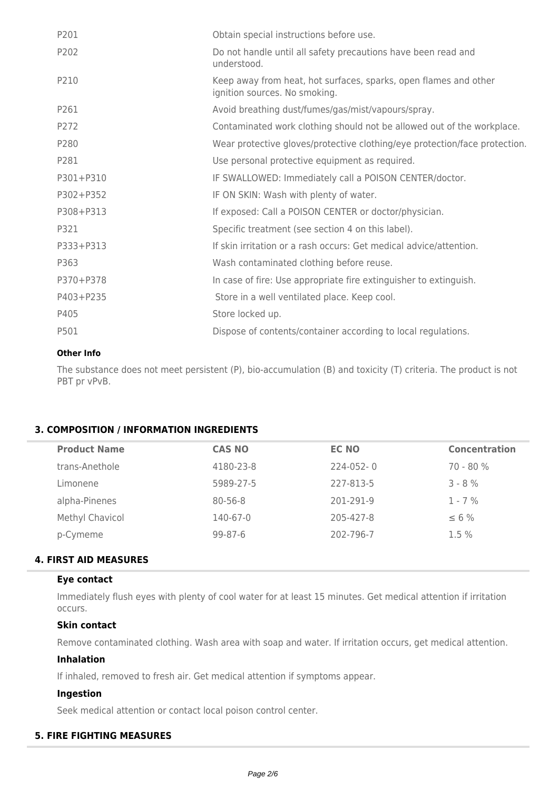| Obtain special instructions before use.                                                           |
|---------------------------------------------------------------------------------------------------|
| Do not handle until all safety precautions have been read and<br>understood.                      |
| Keep away from heat, hot surfaces, sparks, open flames and other<br>ignition sources. No smoking. |
| Avoid breathing dust/fumes/gas/mist/vapours/spray.                                                |
| Contaminated work clothing should not be allowed out of the workplace.                            |
| Wear protective gloves/protective clothing/eye protection/face protection.                        |
| Use personal protective equipment as required.                                                    |
| IF SWALLOWED: Immediately call a POISON CENTER/doctor.                                            |
| IF ON SKIN: Wash with plenty of water.                                                            |
| If exposed: Call a POISON CENTER or doctor/physician.                                             |
| Specific treatment (see section 4 on this label).                                                 |
| If skin irritation or a rash occurs: Get medical advice/attention.                                |
| Wash contaminated clothing before reuse.                                                          |
| In case of fire: Use appropriate fire extinguisher to extinguish.                                 |
| Store in a well ventilated place. Keep cool.                                                      |
| Store locked up.                                                                                  |
| Dispose of contents/container according to local regulations.                                     |
|                                                                                                   |

### **Other Info**

The substance does not meet persistent (P), bio-accumulation (B) and toxicity (T) criteria. The product is not PBT pr vPvB.

### **3. COMPOSITION / INFORMATION INGREDIENTS**

| <b>Product Name</b> | <b>CAS NO</b> | <b>EC NO</b> | <b>Concentration</b> |
|---------------------|---------------|--------------|----------------------|
| trans-Anethole      | 4180-23-8     | $224-052-0$  | $70 - 80%$           |
| Limonene            | 5989-27-5     | 227-813-5    | $3 - 8%$             |
| alpha-Pinenes       | $80 - 56 - 8$ | 201-291-9    | $1 - 7\%$            |
| Methyl Chavicol     | 140-67-0      | 205-427-8    | $\leq 6\%$           |
| p-Cymeme            | $99 - 87 - 6$ | 202-796-7    | $1.5\%$              |

## **4. FIRST AID MEASURES**

### **Eye contact**

Immediately flush eyes with plenty of cool water for at least 15 minutes. Get medical attention if irritation occurs.

### **Skin contact**

Remove contaminated clothing. Wash area with soap and water. If irritation occurs, get medical attention.

## **Inhalation**

If inhaled, removed to fresh air. Get medical attention if symptoms appear.

## **Ingestion**

Seek medical attention or contact local poison control center.

## **5. FIRE FIGHTING MEASURES**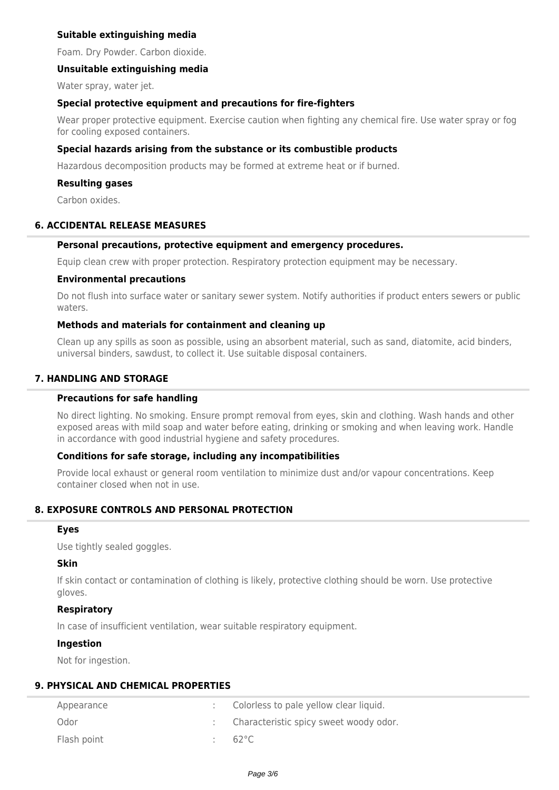## **Suitable extinguishing media**

Foam. Dry Powder. Carbon dioxide.

### **Unsuitable extinguishing media**

Water spray, water jet.

### **Special protective equipment and precautions for fire-fighters**

Wear proper protective equipment. Exercise caution when fighting any chemical fire. Use water spray or fog for cooling exposed containers.

### **Special hazards arising from the substance or its combustible products**

Hazardous decomposition products may be formed at extreme heat or if burned.

#### **Resulting gases**

Carbon oxides.

### **6. ACCIDENTAL RELEASE MEASURES**

#### **Personal precautions, protective equipment and emergency procedures.**

Equip clean crew with proper protection. Respiratory protection equipment may be necessary.

#### **Environmental precautions**

Do not flush into surface water or sanitary sewer system. Notify authorities if product enters sewers or public waters.

### **Methods and materials for containment and cleaning up**

Clean up any spills as soon as possible, using an absorbent material, such as sand, diatomite, acid binders, universal binders, sawdust, to collect it. Use suitable disposal containers.

### **7. HANDLING AND STORAGE**

### **Precautions for safe handling**

No direct lighting. No smoking. Ensure prompt removal from eyes, skin and clothing. Wash hands and other exposed areas with mild soap and water before eating, drinking or smoking and when leaving work. Handle in accordance with good industrial hygiene and safety procedures.

### **Conditions for safe storage, including any incompatibilities**

Provide local exhaust or general room ventilation to minimize dust and/or vapour concentrations. Keep container closed when not in use.

## **8. EXPOSURE CONTROLS AND PERSONAL PROTECTION**

#### **Eyes**

Use tightly sealed goggles.

### **Skin**

If skin contact or contamination of clothing is likely, protective clothing should be worn. Use protective gloves.

### **Respiratory**

In case of insufficient ventilation, wear suitable respiratory equipment.

#### **Ingestion**

Not for ingestion.

## **9. PHYSICAL AND CHEMICAL PROPERTIES**

| Appearance  | Colorless to pale yellow clear liquid. |
|-------------|----------------------------------------|
| Odor        | Characteristic spicy sweet woody odor. |
| Flash point | 62°C.                                  |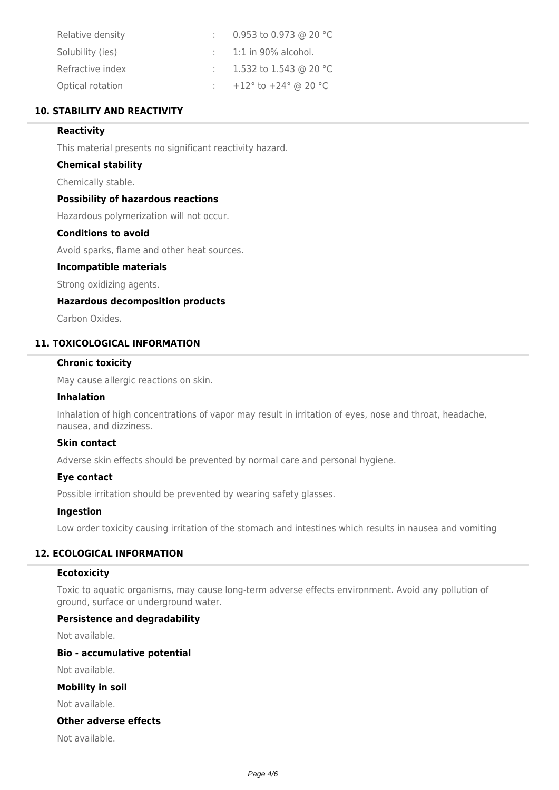| Relative density | 0.953 to 0.973 @ 20 °C                             |
|------------------|----------------------------------------------------|
| Solubility (ies) | $\therefore$ 1:1 in 90% alcohol.                   |
| Refractive index | 1.532 to 1.543 @ 20 °C                             |
| Optical rotation | +12 $^{\circ}$ to +24 $^{\circ}$ @ 20 $^{\circ}$ C |

## **10. STABILITY AND REACTIVITY**

### **Reactivity**

This material presents no significant reactivity hazard.

### **Chemical stability**

Chemically stable.

### **Possibility of hazardous reactions**

Hazardous polymerization will not occur.

## **Conditions to avoid**

Avoid sparks, flame and other heat sources.

#### **Incompatible materials**

Strong oxidizing agents.

### **Hazardous decomposition products**

Carbon Oxides.

### **11. TOXICOLOGICAL INFORMATION**

#### **Chronic toxicity**

May cause allergic reactions on skin.

#### **Inhalation**

Inhalation of high concentrations of vapor may result in irritation of eyes, nose and throat, headache, nausea, and dizziness.

### **Skin contact**

Adverse skin effects should be prevented by normal care and personal hygiene.

## **Eye contact**

Possible irritation should be prevented by wearing safety glasses.

### **Ingestion**

Low order toxicity causing irritation of the stomach and intestines which results in nausea and vomiting

### **12. ECOLOGICAL INFORMATION**

### **Ecotoxicity**

Toxic to aquatic organisms, may cause long-term adverse effects environment. Avoid any pollution of ground, surface or underground water.

#### **Persistence and degradability**

Not available.

### **Bio - accumulative potential**

Not available.

## **Mobility in soil**

Not available.

#### **Other adverse effects**

Not available.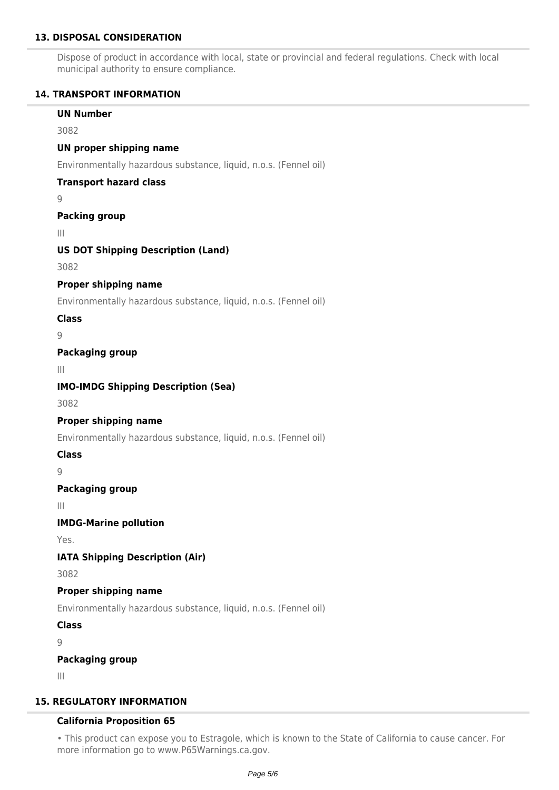## **13. DISPOSAL CONSIDERATION**

Dispose of product in accordance with local, state or provincial and federal regulations. Check with local municipal authority to ensure compliance.

## **14. TRANSPORT INFORMATION**

## **UN Number**

3082

## **UN proper shipping name**

Environmentally hazardous substance, liquid, n.o.s. (Fennel oil)

## **Transport hazard class**

9

## **Packing group**

III

## **US DOT Shipping Description (Land)**

3082

## **Proper shipping name**

Environmentally hazardous substance, liquid, n.o.s. (Fennel oil)

## **Class**

9

## **Packaging group**

III

## **IMO-IMDG Shipping Description (Sea)**

3082

## **Proper shipping name**

Environmentally hazardous substance, liquid, n.o.s. (Fennel oil)

**Class**

9

## **Packaging group**

III

## **IMDG-Marine pollution**

Yes.

## **IATA Shipping Description (Air)**

3082

## **Proper shipping name**

Environmentally hazardous substance, liquid, n.o.s. (Fennel oil)

**Class**

 $\overline{Q}$ 

## **Packaging group**

III

## **15. REGULATORY INFORMATION**

## **California Proposition 65**

• This product can expose you to Estragole, which is known to the State of California to cause cancer. For more information go to www.P65Warnings.ca.gov.